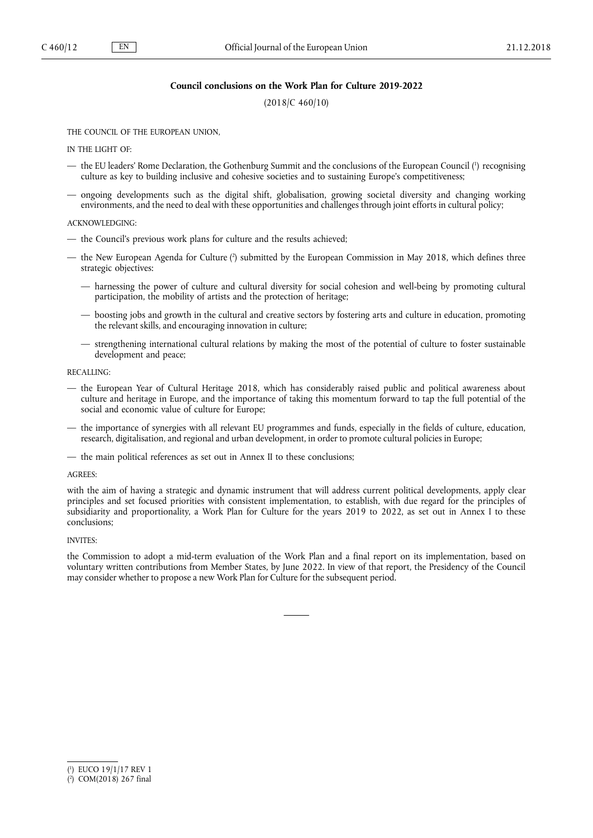## **Council conclusions on the Work Plan for Culture 2019-2022**

(2018/C 460/10)

THE COUNCIL OF THE EUROPEAN UNION,

IN THE LIGHT OF:

- the EU leaders' Rome Declaration, the Gothenburg Summit and the conclusions of the European Council ( 1 ) recognising culture as key to building inclusive and cohesive societies and to sustaining Europe's competitiveness;
- ongoing developments such as the digital shift, globalisation, growing societal diversity and changing working environments, and the need to deal with these opportunities and challenges through joint efforts in cultural policy;

#### ACKNOWLEDGING:

- the Council's previous work plans for culture and the results achieved;
- the New European Agenda for Culture ( 2 ) submitted by the European Commission in May 2018, which defines three strategic objectives:
	- harnessing the power of culture and cultural diversity for social cohesion and well-being by promoting cultural participation, the mobility of artists and the protection of heritage;
	- boosting jobs and growth in the cultural and creative sectors by fostering arts and culture in education, promoting the relevant skills, and encouraging innovation in culture;
	- strengthening international cultural relations by making the most of the potential of culture to foster sustainable development and peace;

#### RECALLING:

- the European Year of Cultural Heritage 2018, which has considerably raised public and political awareness about culture and heritage in Europe, and the importance of taking this momentum forward to tap the full potential of the social and economic value of culture for Europe;
- the importance of synergies with all relevant EU programmes and funds, especially in the fields of culture, education, research, digitalisation, and regional and urban development, in order to promote cultural policies in Europe;
- the main political references as set out in Annex II to these conclusions;

## AGREES:

with the aim of having a strategic and dynamic instrument that will address current political developments, apply clear principles and set focused priorities with consistent implementation, to establish, with due regard for the principles of subsidiarity and proportionality, a Work Plan for Culture for the years 2019 to 2022, as set out in Annex I to these conclusions;

# INVITES:

the Commission to adopt a mid-term evaluation of the Work Plan and a final report on its implementation, based on voluntary written contributions from Member States, by June 2022. In view of that report, the Presidency of the Council may consider whether to propose a new Work Plan for Culture for the subsequent period.

<sup>(</sup> 1 ) EUCO 19/1/17 REV 1

<sup>(</sup> 2 ) COM(2018) 267 final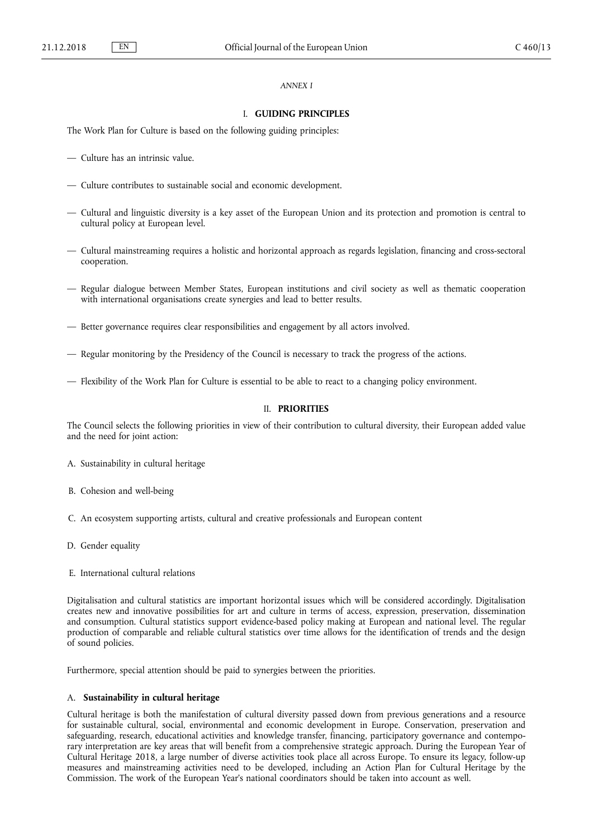#### *ANNEX I*

# I. **GUIDING PRINCIPLES**

The Work Plan for Culture is based on the following guiding principles:

- Culture has an intrinsic value.
- Culture contributes to sustainable social and economic development.
- Cultural and linguistic diversity is a key asset of the European Union and its protection and promotion is central to cultural policy at European level.
- Cultural mainstreaming requires a holistic and horizontal approach as regards legislation, financing and cross-sectoral cooperation.
- Regular dialogue between Member States, European institutions and civil society as well as thematic cooperation with international organisations create synergies and lead to better results.
- Better governance requires clear responsibilities and engagement by all actors involved.
- Regular monitoring by the Presidency of the Council is necessary to track the progress of the actions.
- Flexibility of the Work Plan for Culture is essential to be able to react to a changing policy environment.

# II. **PRIORITIES**

The Council selects the following priorities in view of their contribution to cultural diversity, their European added value and the need for joint action:

- A. Sustainability in cultural heritage
- B. Cohesion and well-being
- C. An ecosystem supporting artists, cultural and creative professionals and European content
- D. Gender equality
- E. International cultural relations

Digitalisation and cultural statistics are important horizontal issues which will be considered accordingly. Digitalisation creates new and innovative possibilities for art and culture in terms of access, expression, preservation, dissemination and consumption. Cultural statistics support evidence-based policy making at European and national level. The regular production of comparable and reliable cultural statistics over time allows for the identification of trends and the design of sound policies.

Furthermore, special attention should be paid to synergies between the priorities.

#### A. **Sustainability in cultural heritage**

Cultural heritage is both the manifestation of cultural diversity passed down from previous generations and a resource for sustainable cultural, social, environmental and economic development in Europe. Conservation, preservation and safeguarding, research, educational activities and knowledge transfer, financing, participatory governance and contemporary interpretation are key areas that will benefit from a comprehensive strategic approach. During the European Year of Cultural Heritage 2018, a large number of diverse activities took place all across Europe. To ensure its legacy, follow-up measures and mainstreaming activities need to be developed, including an Action Plan for Cultural Heritage by the Commission. The work of the European Year's national coordinators should be taken into account as well.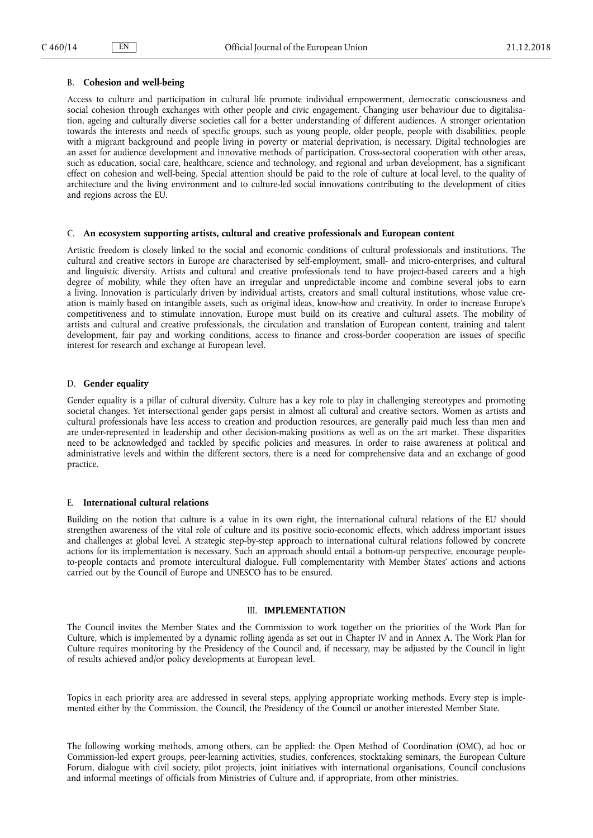#### B. **Cohesion and well-being**

Access to culture and participation in cultural life promote individual empowerment, democratic consciousness and social cohesion through exchanges with other people and civic engagement. Changing user behaviour due to digitalisation, ageing and culturally diverse societies call for a better understanding of different audiences. A stronger orientation towards the interests and needs of specific groups, such as young people, older people, people with disabilities, people with a migrant background and people living in poverty or material deprivation, is necessary. Digital technologies are an asset for audience development and innovative methods of participation. Cross-sectoral cooperation with other areas, such as education, social care, healthcare, science and technology, and regional and urban development, has a significant effect on cohesion and well-being. Special attention should be paid to the role of culture at local level, to the quality of architecture and the living environment and to culture-led social innovations contributing to the development of cities and regions across the EU.

#### C. **An ecosystem supporting artists, cultural and creative professionals and European content**

Artistic freedom is closely linked to the social and economic conditions of cultural professionals and institutions. The cultural and creative sectors in Europe are characterised by self-employment, small- and micro-enterprises, and cultural and linguistic diversity. Artists and cultural and creative professionals tend to have project-based careers and a high degree of mobility, while they often have an irregular and unpredictable income and combine several jobs to earn a living. Innovation is particularly driven by individual artists, creators and small cultural institutions, whose value creation is mainly based on intangible assets, such as original ideas, know-how and creativity. In order to increase Europe's competitiveness and to stimulate innovation, Europe must build on its creative and cultural assets. The mobility of artists and cultural and creative professionals, the circulation and translation of European content, training and talent development, fair pay and working conditions, access to finance and cross-border cooperation are issues of specific interest for research and exchange at European level.

#### D. **Gender equality**

Gender equality is a pillar of cultural diversity. Culture has a key role to play in challenging stereotypes and promoting societal changes. Yet intersectional gender gaps persist in almost all cultural and creative sectors. Women as artists and cultural professionals have less access to creation and production resources, are generally paid much less than men and are under-represented in leadership and other decision-making positions as well as on the art market. These disparities need to be acknowledged and tackled by specific policies and measures. In order to raise awareness at political and administrative levels and within the different sectors, there is a need for comprehensive data and an exchange of good practice.

#### E. **International cultural relations**

Building on the notion that culture is a value in its own right, the international cultural relations of the EU should strengthen awareness of the vital role of culture and its positive socio-economic effects, which address important issues and challenges at global level. A strategic step-by-step approach to international cultural relations followed by concrete actions for its implementation is necessary. Such an approach should entail a bottom-up perspective, encourage peopleto-people contacts and promote intercultural dialogue. Full complementarity with Member States' actions and actions carried out by the Council of Europe and UNESCO has to be ensured.

#### III. **IMPLEMENTATION**

The Council invites the Member States and the Commission to work together on the priorities of the Work Plan for Culture, which is implemented by a dynamic rolling agenda as set out in Chapter IV and in Annex A. The Work Plan for Culture requires monitoring by the Presidency of the Council and, if necessary, may be adjusted by the Council in light of results achieved and/or policy developments at European level.

Topics in each priority area are addressed in several steps, applying appropriate working methods. Every step is implemented either by the Commission, the Council, the Presidency of the Council or another interested Member State.

The following working methods, among others, can be applied: the Open Method of Coordination (OMC), ad hoc or Commission-led expert groups, peer-learning activities, studies, conferences, stocktaking seminars, the European Culture Forum, dialogue with civil society, pilot projects, joint initiatives with international organisations, Council conclusions and informal meetings of officials from Ministries of Culture and, if appropriate, from other ministries.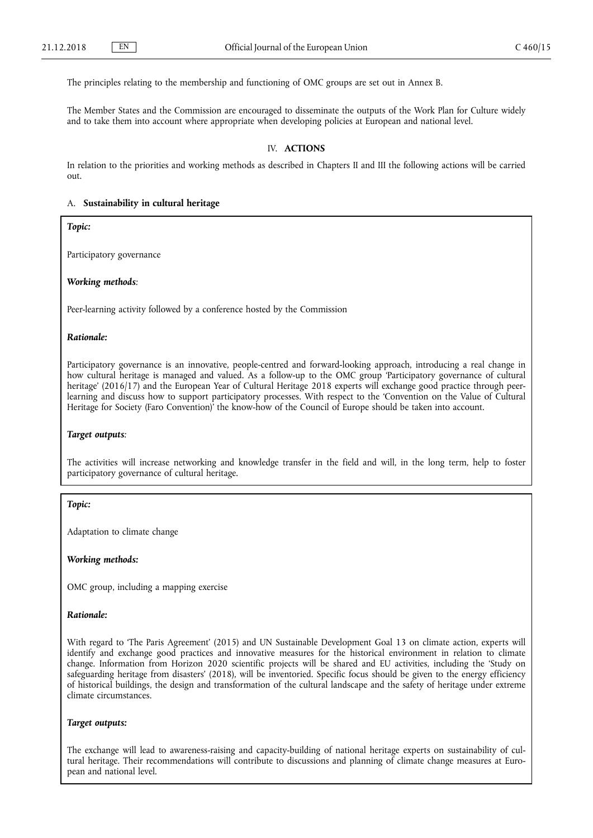The principles relating to the membership and functioning of OMC groups are set out in Annex B.

The Member States and the Commission are encouraged to disseminate the outputs of the Work Plan for Culture widely and to take them into account where appropriate when developing policies at European and national level.

# IV. **ACTIONS**

In relation to the priorities and working methods as described in Chapters II and III the following actions will be carried out.

## A. **Sustainability in cultural heritage**

# *Topic:*

Participatory governance

#### *Working methods:*

Peer-learning activity followed by a conference hosted by the Commission

#### *Rationale:*

Participatory governance is an innovative, people-centred and forward-looking approach, introducing a real change in how cultural heritage is managed and valued. As a follow-up to the OMC group 'Participatory governance of cultural heritage' (2016/17) and the European Year of Cultural Heritage 2018 experts will exchange good practice through peerlearning and discuss how to support participatory processes. With respect to the 'Convention on the Value of Cultural Heritage for Society (Faro Convention)' the know-how of the Council of Europe should be taken into account.

#### *Target outputs:*

The activities will increase networking and knowledge transfer in the field and will, in the long term, help to foster participatory governance of cultural heritage.

# *Topic:*

Adaptation to climate change

## *Working methods:*

OMC group, including a mapping exercise

## *Rationale:*

With regard to 'The Paris Agreement' (2015) and UN Sustainable Development Goal 13 on climate action, experts will identify and exchange good practices and innovative measures for the historical environment in relation to climate change. Information from Horizon 2020 scientific projects will be shared and EU activities, including the 'Study on safeguarding heritage from disasters' (2018), will be inventoried. Specific focus should be given to the energy efficiency of historical buildings, the design and transformation of the cultural landscape and the safety of heritage under extreme climate circumstances.

## *Target outputs:*

The exchange will lead to awareness-raising and capacity-building of national heritage experts on sustainability of cultural heritage. Their recommendations will contribute to discussions and planning of climate change measures at European and national level.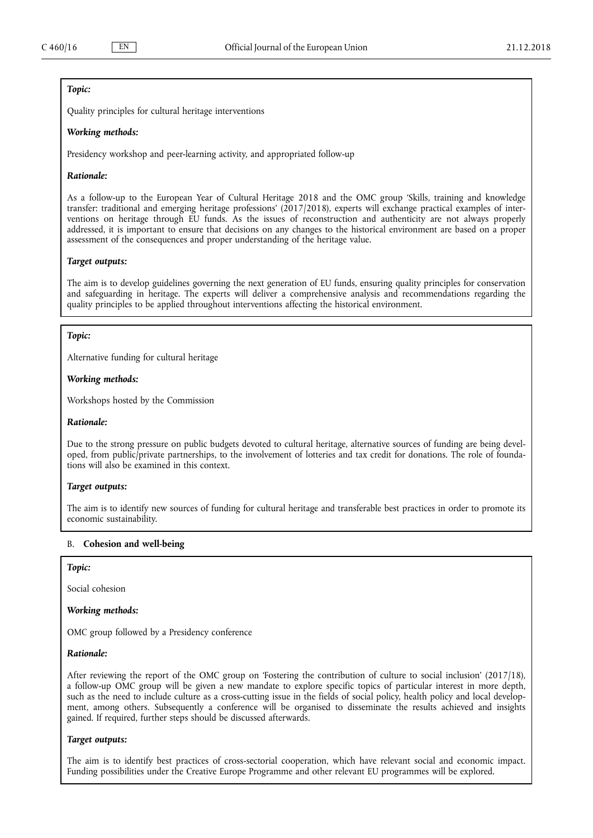Quality principles for cultural heritage interventions

#### *Working methods:*

Presidency workshop and peer-learning activity, and appropriated follow-up

#### *Rationale:*

As a follow-up to the European Year of Cultural Heritage 2018 and the OMC group 'Skills, training and knowledge transfer: traditional and emerging heritage professions' (2017/2018), experts will exchange practical examples of interventions on heritage through EU funds. As the issues of reconstruction and authenticity are not always properly addressed, it is important to ensure that decisions on any changes to the historical environment are based on a proper assessment of the consequences and proper understanding of the heritage value.

#### *Target outputs:*

The aim is to develop guidelines governing the next generation of EU funds, ensuring quality principles for conservation and safeguarding in heritage. The experts will deliver a comprehensive analysis and recommendations regarding the quality principles to be applied throughout interventions affecting the historical environment.

## *Topic:*

Alternative funding for cultural heritage

#### *Working methods:*

Workshops hosted by the Commission

# *Rationale:*

Due to the strong pressure on public budgets devoted to cultural heritage, alternative sources of funding are being developed, from public/private partnerships, to the involvement of lotteries and tax credit for donations. The role of foundations will also be examined in this context.

#### *Target outputs:*

The aim is to identify new sources of funding for cultural heritage and transferable best practices in order to promote its economic sustainability.

#### B. **Cohesion and well-being**

## *Topic:*

Social cohesion

#### *Working methods:*

OMC group followed by a Presidency conference

## *Rationale:*

After reviewing the report of the OMC group on 'Fostering the contribution of culture to social inclusion' (2017/18), a follow-up OMC group will be given a new mandate to explore specific topics of particular interest in more depth, such as the need to include culture as a cross-cutting issue in the fields of social policy, health policy and local development, among others. Subsequently a conference will be organised to disseminate the results achieved and insights gained. If required, further steps should be discussed afterwards.

## *Target outputs:*

The aim is to identify best practices of cross-sectorial cooperation, which have relevant social and economic impact. Funding possibilities under the Creative Europe Programme and other relevant EU programmes will be explored.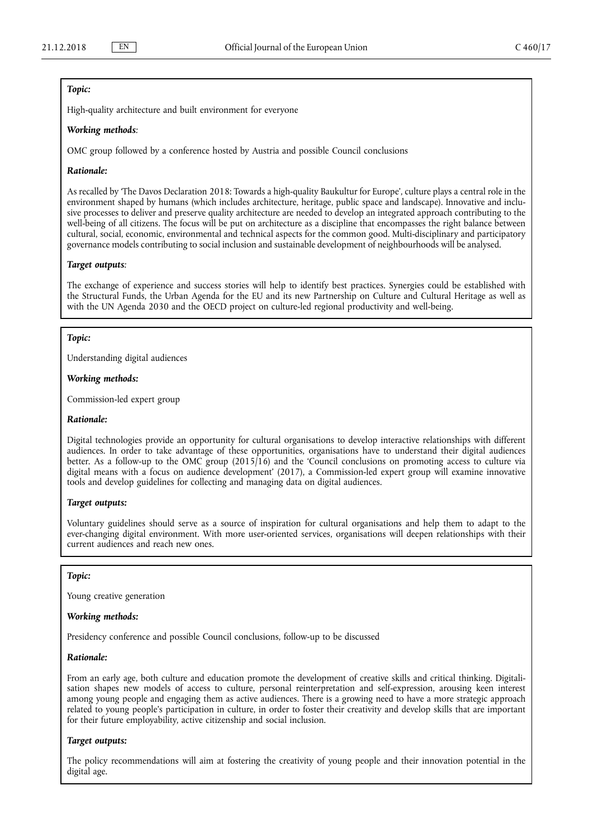High-quality architecture and built environment for everyone

#### *Working methods:*

OMC group followed by a conference hosted by Austria and possible Council conclusions

## *Rationale:*

As recalled by 'The Davos Declaration 2018: Towards a high-quality Baukultur for Europe', culture plays a central role in the environment shaped by humans (which includes architecture, heritage, public space and landscape). Innovative and inclusive processes to deliver and preserve quality architecture are needed to develop an integrated approach contributing to the well-being of all citizens. The focus will be put on architecture as a discipline that encompasses the right balance between cultural, social, economic, environmental and technical aspects for the common good. Multi-disciplinary and participatory governance models contributing to social inclusion and sustainable development of neighbourhoods will be analysed.

#### *Target outputs:*

The exchange of experience and success stories will help to identify best practices. Synergies could be established with the Structural Funds, the Urban Agenda for the EU and its new Partnership on Culture and Cultural Heritage as well as with the UN Agenda 2030 and the OECD project on culture-led regional productivity and well-being.

#### *Topic:*

Understanding digital audiences

#### *Working methods:*

Commission-led expert group

# *Rationale:*

Digital technologies provide an opportunity for cultural organisations to develop interactive relationships with different audiences. In order to take advantage of these opportunities, organisations have to understand their digital audiences better. As a follow-up to the OMC group (2015/16) and the 'Council conclusions on promoting access to culture via digital means with a focus on audience development' (2017), a Commission-led expert group will examine innovative tools and develop guidelines for collecting and managing data on digital audiences.

# *Target outputs:*

Voluntary guidelines should serve as a source of inspiration for cultural organisations and help them to adapt to the ever-changing digital environment. With more user-oriented services, organisations will deepen relationships with their current audiences and reach new ones.

# *Topic:*

Young creative generation

#### *Working methods:*

Presidency conference and possible Council conclusions, follow-up to be discussed

#### *Rationale:*

From an early age, both culture and education promote the development of creative skills and critical thinking. Digitalisation shapes new models of access to culture, personal reinterpretation and self-expression, arousing keen interest among young people and engaging them as active audiences. There is a growing need to have a more strategic approach related to young people's participation in culture, in order to foster their creativity and develop skills that are important for their future employability, active citizenship and social inclusion.

# *Target outputs:*

The policy recommendations will aim at fostering the creativity of young people and their innovation potential in the digital age.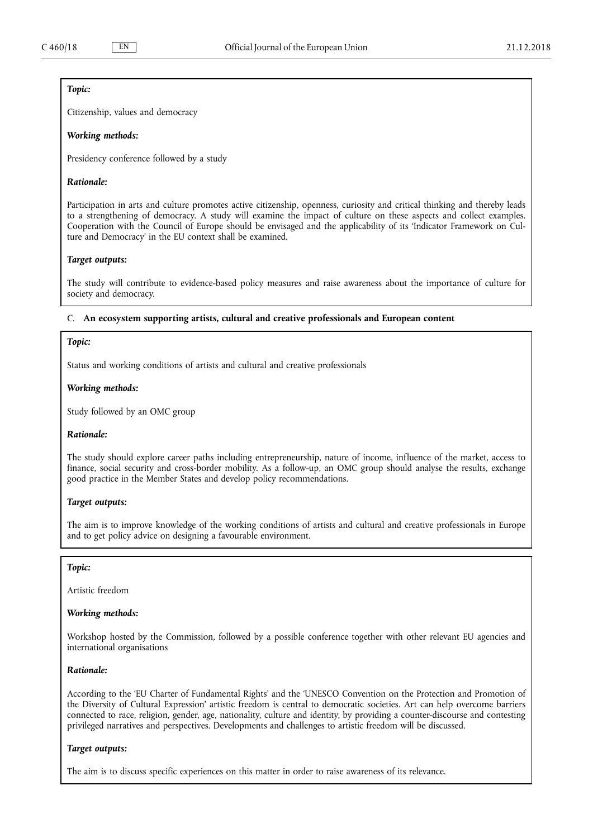Citizenship, values and democracy

#### *Working methods:*

Presidency conference followed by a study

# *Rationale:*

Participation in arts and culture promotes active citizenship, openness, curiosity and critical thinking and thereby leads to a strengthening of democracy. A study will examine the impact of culture on these aspects and collect examples. Cooperation with the Council of Europe should be envisaged and the applicability of its 'Indicator Framework on Culture and Democracy' in the EU context shall be examined.

#### *Target outputs:*

The study will contribute to evidence-based policy measures and raise awareness about the importance of culture for society and democracy.

## C. **An ecosystem supporting artists, cultural and creative professionals and European content**

#### *Topic:*

Status and working conditions of artists and cultural and creative professionals

## *Working methods:*

Study followed by an OMC group

## *Rationale:*

The study should explore career paths including entrepreneurship, nature of income, influence of the market, access to finance, social security and cross-border mobility. As a follow-up, an OMC group should analyse the results, exchange good practice in the Member States and develop policy recommendations.

## *Target outputs:*

The aim is to improve knowledge of the working conditions of artists and cultural and creative professionals in Europe and to get policy advice on designing a favourable environment.

## *Topic:*

Artistic freedom

## *Working methods:*

Workshop hosted by the Commission, followed by a possible conference together with other relevant EU agencies and international organisations

# *Rationale:*

According to the 'EU Charter of Fundamental Rights' and the 'UNESCO Convention on the Protection and Promotion of the Diversity of Cultural Expression' artistic freedom is central to democratic societies. Art can help overcome barriers connected to race, religion, gender, age, nationality, culture and identity, by providing a counter-discourse and contesting privileged narratives and perspectives. Developments and challenges to artistic freedom will be discussed.

# *Target outputs:*

The aim is to discuss specific experiences on this matter in order to raise awareness of its relevance.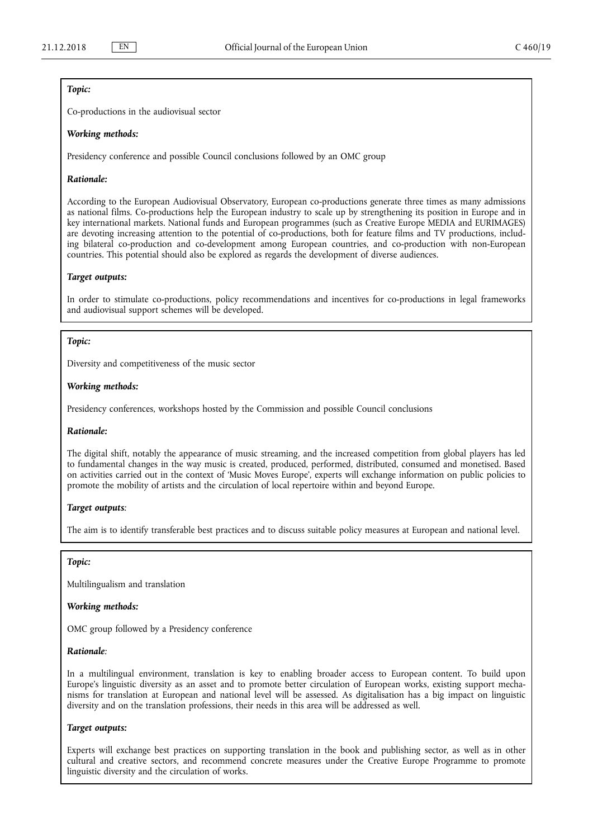Co-productions in the audiovisual sector

#### *Working methods:*

Presidency conference and possible Council conclusions followed by an OMC group

# *Rationale:*

According to the European Audiovisual Observatory, European co-productions generate three times as many admissions as national films. Co-productions help the European industry to scale up by strengthening its position in Europe and in key international markets. National funds and European programmes (such as Creative Europe MEDIA and EURIMAGES) are devoting increasing attention to the potential of co-productions, both for feature films and TV productions, including bilateral co-production and co-development among European countries, and co-production with non-European countries. This potential should also be explored as regards the development of diverse audiences.

# *Target outputs:*

In order to stimulate co-productions, policy recommendations and incentives for co-productions in legal frameworks and audiovisual support schemes will be developed.

## *Topic:*

Diversity and competitiveness of the music sector

# *Working methods:*

Presidency conferences, workshops hosted by the Commission and possible Council conclusions

## *Rationale:*

The digital shift, notably the appearance of music streaming, and the increased competition from global players has led to fundamental changes in the way music is created, produced, performed, distributed, consumed and monetised. Based on activities carried out in the context of 'Music Moves Europe', experts will exchange information on public policies to promote the mobility of artists and the circulation of local repertoire within and beyond Europe.

#### *Target outputs:*

The aim is to identify transferable best practices and to discuss suitable policy measures at European and national level.

# *Topic:*

Multilingualism and translation

#### *Working methods:*

OMC group followed by a Presidency conference

# *Rationale:*

In a multilingual environment, translation is key to enabling broader access to European content. To build upon Europe's linguistic diversity as an asset and to promote better circulation of European works, existing support mechanisms for translation at European and national level will be assessed. As digitalisation has a big impact on linguistic diversity and on the translation professions, their needs in this area will be addressed as well.

#### *Target outputs:*

Experts will exchange best practices on supporting translation in the book and publishing sector, as well as in other cultural and creative sectors, and recommend concrete measures under the Creative Europe Programme to promote linguistic diversity and the circulation of works.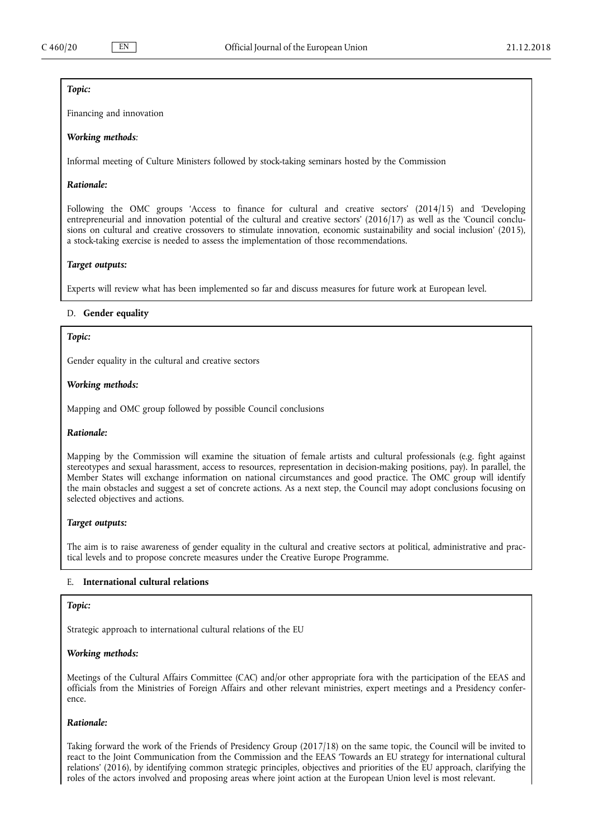Financing and innovation

## *Working methods:*

Informal meeting of Culture Ministers followed by stock-taking seminars hosted by the Commission

#### *Rationale:*

Following the OMC groups 'Access to finance for cultural and creative sectors' (2014/15) and 'Developing entrepreneurial and innovation potential of the cultural and creative sectors' (2016/17) as well as the 'Council conclusions on cultural and creative crossovers to stimulate innovation, economic sustainability and social inclusion' (2015), a stock-taking exercise is needed to assess the implementation of those recommendations.

#### *Target outputs:*

Experts will review what has been implemented so far and discuss measures for future work at European level.

## D. **Gender equality**

#### *Topic:*

Gender equality in the cultural and creative sectors

#### *Working methods:*

Mapping and OMC group followed by possible Council conclusions

#### *Rationale:*

Mapping by the Commission will examine the situation of female artists and cultural professionals (e.g. fight against stereotypes and sexual harassment, access to resources, representation in decision-making positions, pay). In parallel, the Member States will exchange information on national circumstances and good practice. The OMC group will identify the main obstacles and suggest a set of concrete actions. As a next step, the Council may adopt conclusions focusing on selected objectives and actions.

### *Target outputs:*

The aim is to raise awareness of gender equality in the cultural and creative sectors at political, administrative and practical levels and to propose concrete measures under the Creative Europe Programme.

# E. **International cultural relations**

## *Topic:*

Strategic approach to international cultural relations of the EU

#### *Working methods:*

Meetings of the Cultural Affairs Committee (CAC) and/or other appropriate fora with the participation of the EEAS and officials from the Ministries of Foreign Affairs and other relevant ministries, expert meetings and a Presidency conference.

#### *Rationale:*

Taking forward the work of the Friends of Presidency Group (2017/18) on the same topic, the Council will be invited to react to the Joint Communication from the Commission and the EEAS 'Towards an EU strategy for international cultural relations' (2016), by identifying common strategic principles, objectives and priorities of the EU approach, clarifying the roles of the actors involved and proposing areas where joint action at the European Union level is most relevant.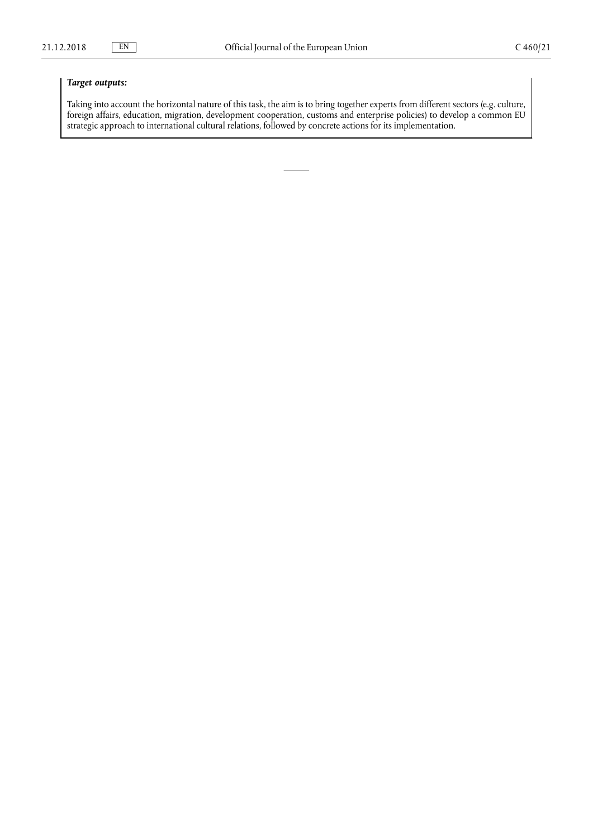# *Target outputs:*

Taking into account the horizontal nature of this task, the aim is to bring together experts from different sectors (e.g. culture, foreign affairs, education, migration, development cooperation, customs and enterprise policies) to develop a common EU strategic approach to international cultural relations, followed by concrete actions for its implementation.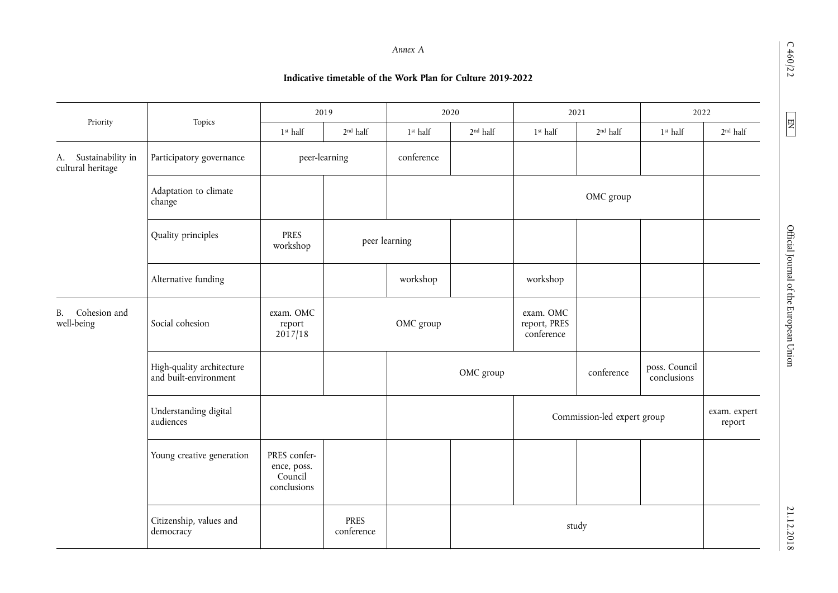C 460/22

EN

| N              |
|----------------|
| Н              |
|                |
| N              |
|                |
| $\overline{ }$ |
| っ              |
| ∝              |
|                |

# *Annex A*

# **Indicative timetable of the Work Plan for Culture 2019-2022**

| Priority                                     | Topics                                             | 2019                                                  |                      | 2020       |                      | 2021                                    |                             | 2022                         |                        |
|----------------------------------------------|----------------------------------------------------|-------------------------------------------------------|----------------------|------------|----------------------|-----------------------------------------|-----------------------------|------------------------------|------------------------|
|                                              |                                                    | 1st half                                              | 2 <sup>nd</sup> half | 1st half   | 2 <sup>nd</sup> half | 1st half                                | 2 <sup>nd</sup> half        | 1st half                     | 2 <sup>nd</sup> half   |
| Sustainability in<br>А.<br>cultural heritage | Participatory governance                           | peer-learning                                         |                      | conference |                      |                                         |                             |                              |                        |
|                                              | Adaptation to climate<br>change                    |                                                       |                      |            |                      |                                         | OMC group                   |                              |                        |
|                                              | Quality principles                                 | <b>PRES</b><br>workshop                               | peer learning        |            |                      |                                         |                             |                              |                        |
|                                              | Alternative funding                                |                                                       |                      | workshop   |                      | workshop                                |                             |                              |                        |
| Cohesion and<br>В.<br>well-being             | Social cohesion                                    | exam. OMC<br>report<br>2017/18                        |                      | OMC group  |                      | exam. OMC<br>report, PRES<br>conference |                             |                              |                        |
|                                              | High-quality architecture<br>and built-environment |                                                       |                      |            | OMC group            |                                         | conference                  | poss. Council<br>conclusions |                        |
|                                              | Understanding digital<br>audiences                 |                                                       |                      |            |                      |                                         | Commission-led expert group |                              | exam. expert<br>report |
|                                              | Young creative generation                          | PRES confer-<br>ence, poss.<br>Council<br>conclusions |                      |            |                      |                                         |                             |                              |                        |
|                                              | Citizenship, values and<br>democracy               | <b>PRES</b><br>conference                             |                      |            | study                |                                         |                             |                              |                        |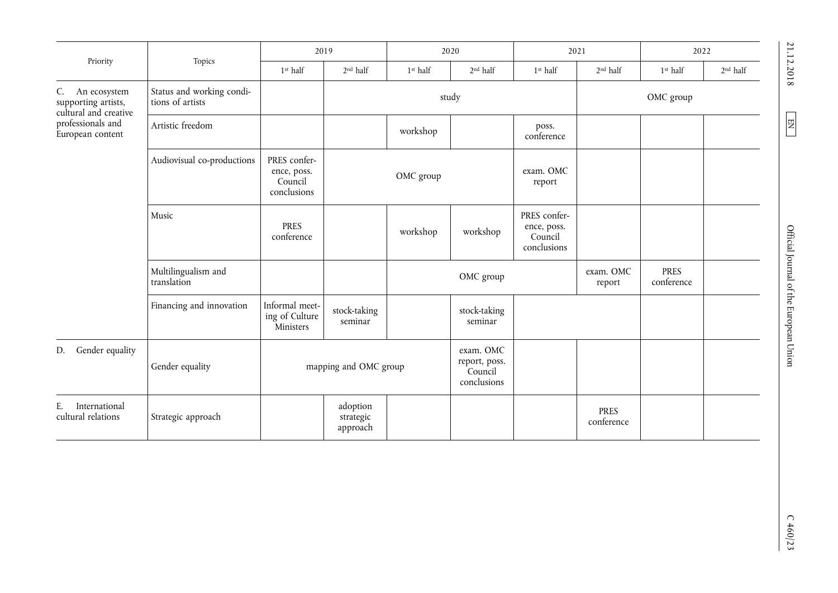| Priority                                                                                                    | Topics                                        | 2019                                                  |                                   | 2020                 |                                                      | 2021                                                  |                           | 2022                      |                      |
|-------------------------------------------------------------------------------------------------------------|-----------------------------------------------|-------------------------------------------------------|-----------------------------------|----------------------|------------------------------------------------------|-------------------------------------------------------|---------------------------|---------------------------|----------------------|
|                                                                                                             |                                               | 1 <sup>st</sup> half                                  | 2 <sup>nd</sup> half              | 1 <sup>st</sup> half | 2 <sup>nd</sup> half                                 | $1st$ half                                            | 2 <sup>nd</sup> half      | 1 <sup>st</sup> half      | 2 <sup>nd</sup> half |
| An ecosystem<br>C.<br>supporting artists,<br>cultural and creative<br>professionals and<br>European content | Status and working condi-<br>tions of artists |                                                       | study                             |                      |                                                      |                                                       | OMC group                 |                           |                      |
|                                                                                                             | Artistic freedom                              |                                                       |                                   | workshop             |                                                      | poss.<br>conference                                   |                           |                           |                      |
|                                                                                                             | Audiovisual co-productions                    | PRES confer-<br>ence, poss.<br>Council<br>conclusions | exam. OMC<br>OMC group<br>report  |                      |                                                      |                                                       |                           |                           |                      |
|                                                                                                             | Music                                         | <b>PRES</b><br>conference                             |                                   | workshop             | workshop                                             | PRES confer-<br>ence, poss.<br>Council<br>conclusions |                           |                           |                      |
|                                                                                                             | Multilingualism and<br>translation            |                                                       |                                   | OMC group            |                                                      |                                                       | exam. OMC<br>report       | <b>PRES</b><br>conference |                      |
|                                                                                                             | Financing and innovation                      | Informal meet-<br>ing of Culture<br>Ministers         | stock-taking<br>seminar           |                      | stock-taking<br>seminar                              |                                                       |                           |                           |                      |
| Gender equality<br>D.                                                                                       | Gender equality                               | mapping and OMC group                                 |                                   |                      | exam. OMC<br>report, poss.<br>Council<br>conclusions |                                                       |                           |                           |                      |
| International<br>Ε.<br>cultural relations                                                                   | Strategic approach                            |                                                       | adoption<br>strategic<br>approach |                      |                                                      |                                                       | <b>PRES</b><br>conference |                           |                      |

EN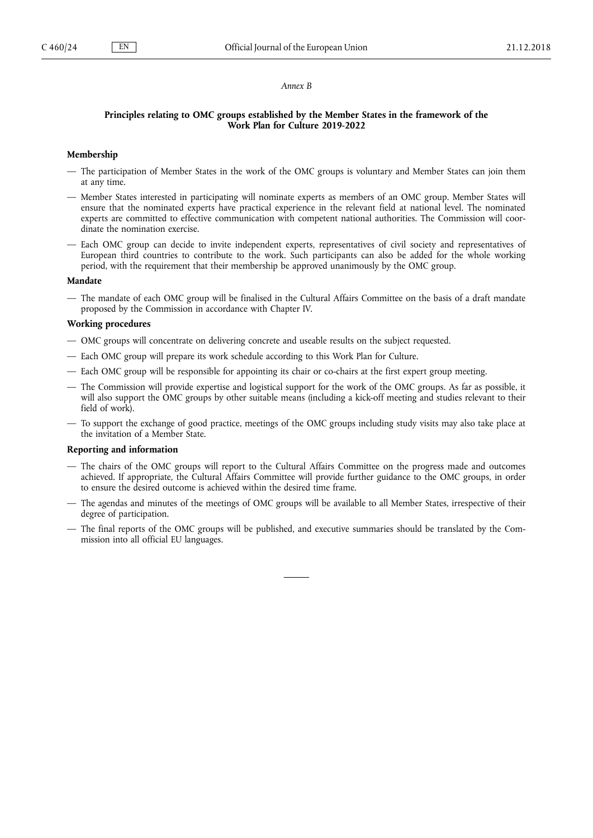#### *Annex B*

# **Principles relating to OMC groups established by the Member States in the framework of the Work Plan for Culture 2019-2022**

#### **Membership**

- The participation of Member States in the work of the OMC groups is voluntary and Member States can join them at any time.
- Member States interested in participating will nominate experts as members of an OMC group. Member States will ensure that the nominated experts have practical experience in the relevant field at national level. The nominated experts are committed to effective communication with competent national authorities. The Commission will coordinate the nomination exercise.
- Each OMC group can decide to invite independent experts, representatives of civil society and representatives of European third countries to contribute to the work. Such participants can also be added for the whole working period, with the requirement that their membership be approved unanimously by the OMC group.

## **Mandate**

— The mandate of each OMC group will be finalised in the Cultural Affairs Committee on the basis of a draft mandate proposed by the Commission in accordance with Chapter IV.

## **Working procedures**

- OMC groups will concentrate on delivering concrete and useable results on the subject requested.
- Each OMC group will prepare its work schedule according to this Work Plan for Culture.
- Each OMC group will be responsible for appointing its chair or co-chairs at the first expert group meeting.
- The Commission will provide expertise and logistical support for the work of the OMC groups. As far as possible, it will also support the OMC groups by other suitable means (including a kick-off meeting and studies relevant to their field of work).
- To support the exchange of good practice, meetings of the OMC groups including study visits may also take place at the invitation of a Member State.

## **Reporting and information**

- The chairs of the OMC groups will report to the Cultural Affairs Committee on the progress made and outcomes achieved. If appropriate, the Cultural Affairs Committee will provide further guidance to the OMC groups, in order to ensure the desired outcome is achieved within the desired time frame.
- The agendas and minutes of the meetings of OMC groups will be available to all Member States, irrespective of their degree of participation.
- The final reports of the OMC groups will be published, and executive summaries should be translated by the Commission into all official EU languages.